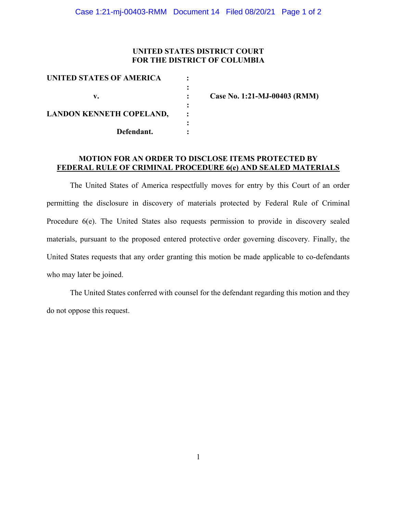### UNITED STATES DISTRICT COURT FOR THE DISTRICT OF COLUMBIA

| UNITED STATES OF AMERICA        |                              |
|---------------------------------|------------------------------|
| v.                              | Case No. 1:21-MJ-00403 (RMM) |
| <b>LANDON KENNETH COPELAND,</b> | $\bullet$                    |
| Defendant.                      |                              |

#### MOTION FOR AN ORDER TO DISCLOSE ITEMS PROTECTED BY FEDERAL RULE OF CRIMINAL PROCEDURE 6(e) AND SEALED MATERIALS

The United States of America respectfully moves for entry by this Court of an order permitting the disclosure in discovery of materials protected by Federal Rule of Criminal Procedure 6(e). The United States also requests permission to provide in discovery sealed materials, pursuant to the proposed entered protective order governing discovery. Finally, the United States requests that any order granting this motion be made applicable to co-defendants who may later be joined.

The United States conferred with counsel for the defendant regarding this motion and they do not oppose this request.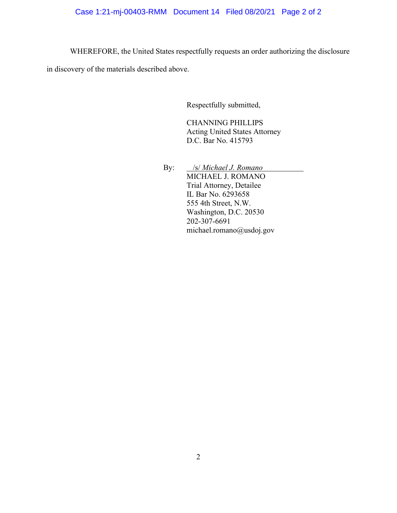## Case 1:21-mj-00403-RMM Document 14 Filed 08/20/21 Page 2 of 2

WHEREFORE, the United States respectfully requests an order authorizing the disclosure

in discovery of the materials described above.

Respectfully submitted,

CHANNING PHILLIPS Acting United States Attorney D.C. Bar No. 415793

By: */s/ Michael J. Romano*  MICHAEL J. ROMANO Trial Attorney, Detailee IL Bar No. 6293658 555 4th Street, N.W. Washington, D.C. 20530 202-307-6691 michael.romano@usdoj.gov